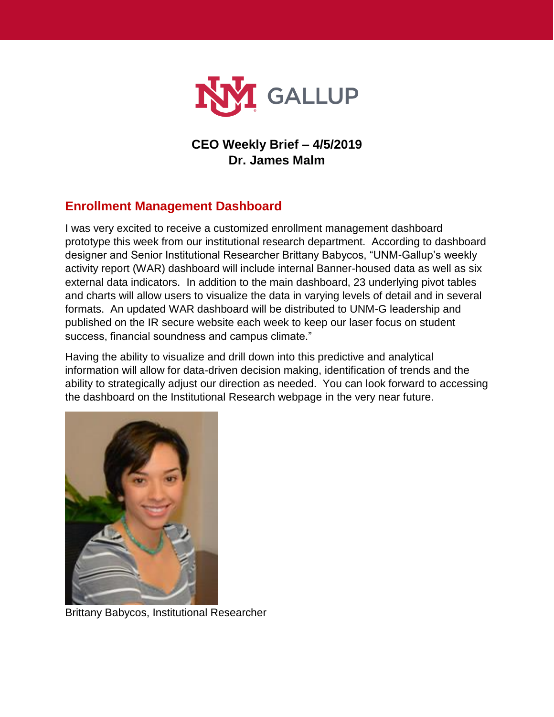

#### **CEO Weekly Brief – 4/5/2019 Dr. James Malm**

# **Enrollment Management Dashboard**

I was very excited to receive a customized enrollment management dashboard prototype this week from our institutional research department. According to dashboard designer and Senior Institutional Researcher Brittany Babycos, "UNM-Gallup's weekly activity report (WAR) dashboard will include internal Banner-housed data as well as six external data indicators. In addition to the main dashboard, 23 underlying pivot tables and charts will allow users to visualize the data in varying levels of detail and in several formats. An updated WAR dashboard will be distributed to UNM-G leadership and published on the IR secure website each week to keep our laser focus on student success, financial soundness and campus climate."

Having the ability to visualize and drill down into this predictive and analytical information will allow for data-driven decision making, identification of trends and the ability to strategically adjust our direction as needed. You can look forward to accessing the dashboard on the Institutional Research webpage in the very near future.



Brittany Babycos, Institutional Researcher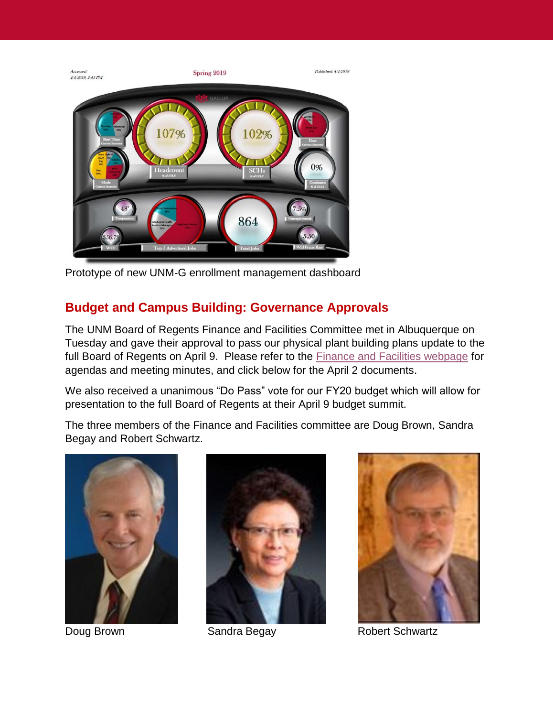

Prototype of new UNM-G enrollment management dashboard

## **Budget and Campus Building: Governance Approvals**

The UNM Board of Regents Finance and Facilities Committee met in Albuquerque on Tuesday and gave their approval to pass our physical plant building plans update to the full Board of Regents on April 9. Please refer to the **Finance and Facilities webpage** for agendas and meeting minutes, and click below for the April 2 documents.

We also received a unanimous "Do Pass" vote for our FY20 budget which will allow for presentation to the full Board of Regents at their April 9 budget summit.

The three members of the Finance and Facilities committee are Doug Brown, Sandra Begay and Robert Schwartz.







Doug Brown Sandra Begay Robert Schwartz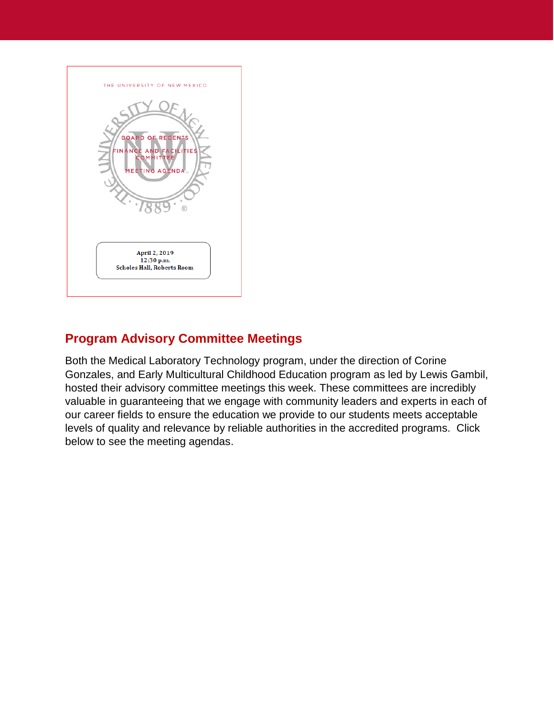

## **Program Advisory Committee Meetings**

Both the Medical Laboratory Technology program, under the direction of Corine Gonzales, and Early Multicultural Childhood Education program as led by Lewis Gambil, hosted their advisory committee meetings this week. These committees are incredibly valuable in guaranteeing that we engage with community leaders and experts in each of our career fields to ensure the education we provide to our students meets acceptable levels of quality and relevance by reliable authorities in the accredited programs. Click below to see the meeting agendas.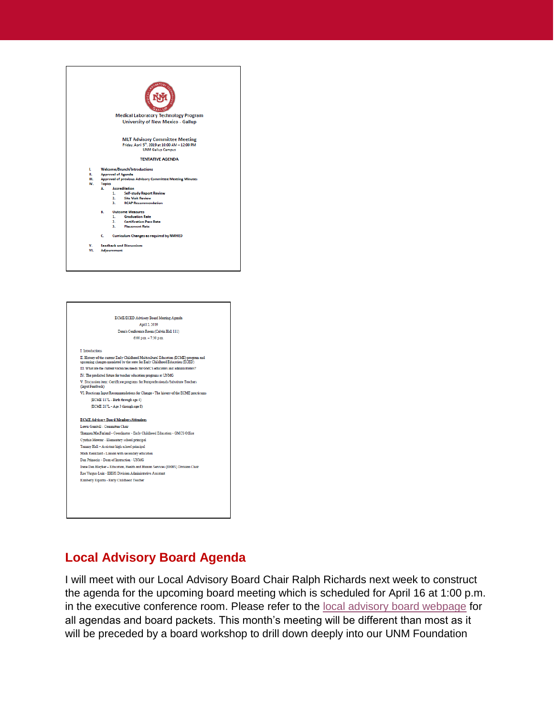



#### **Local Advisory Board Agenda**

I will meet with our Local Advisory Board Chair Ralph Richards next week to construct the agenda for the upcoming board meeting which is scheduled for April 16 at 1:00 p.m. in the executive conference room. Please refer to the [local advisory board webpage](https://gallup.unm.edu/administration/localboard/) for all agendas and board packets. This month's meeting will be different than most as it will be preceded by a board workshop to drill down deeply into our UNM Foundation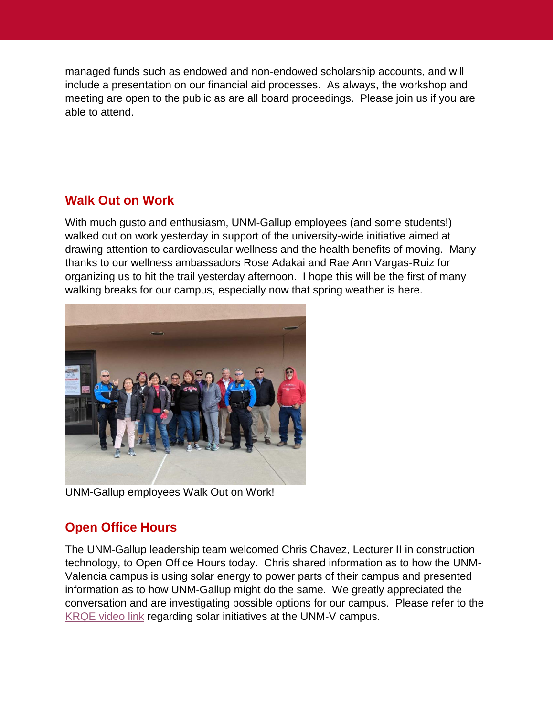managed funds such as endowed and non-endowed scholarship accounts, and will include a presentation on our financial aid processes. As always, the workshop and meeting are open to the public as are all board proceedings. Please join us if you are able to attend.

#### **Walk Out on Work**

With much gusto and enthusiasm, UNM-Gallup employees (and some students!) walked out on work yesterday in support of the university-wide initiative aimed at drawing attention to cardiovascular wellness and the health benefits of moving. Many thanks to our wellness ambassadors Rose Adakai and Rae Ann Vargas-Ruiz for organizing us to hit the trail yesterday afternoon. I hope this will be the first of many walking breaks for our campus, especially now that spring weather is here.



UNM-Gallup employees Walk Out on Work!

## **Open Office Hours**

The UNM-Gallup leadership team welcomed Chris Chavez, Lecturer II in construction technology, to Open Office Hours today. Chris shared information as to how the UNM-Valencia campus is using solar energy to power parts of their campus and presented information as to how UNM-Gallup might do the same. We greatly appreciated the conversation and are investigating possible options for our campus. Please refer to the [KRQE video link](https://www.krqe.com/news/education/unm-valencia-campus-push-to-go-green-creates-solar-savings-for-students/1882577540) regarding solar initiatives at the UNM-V campus.